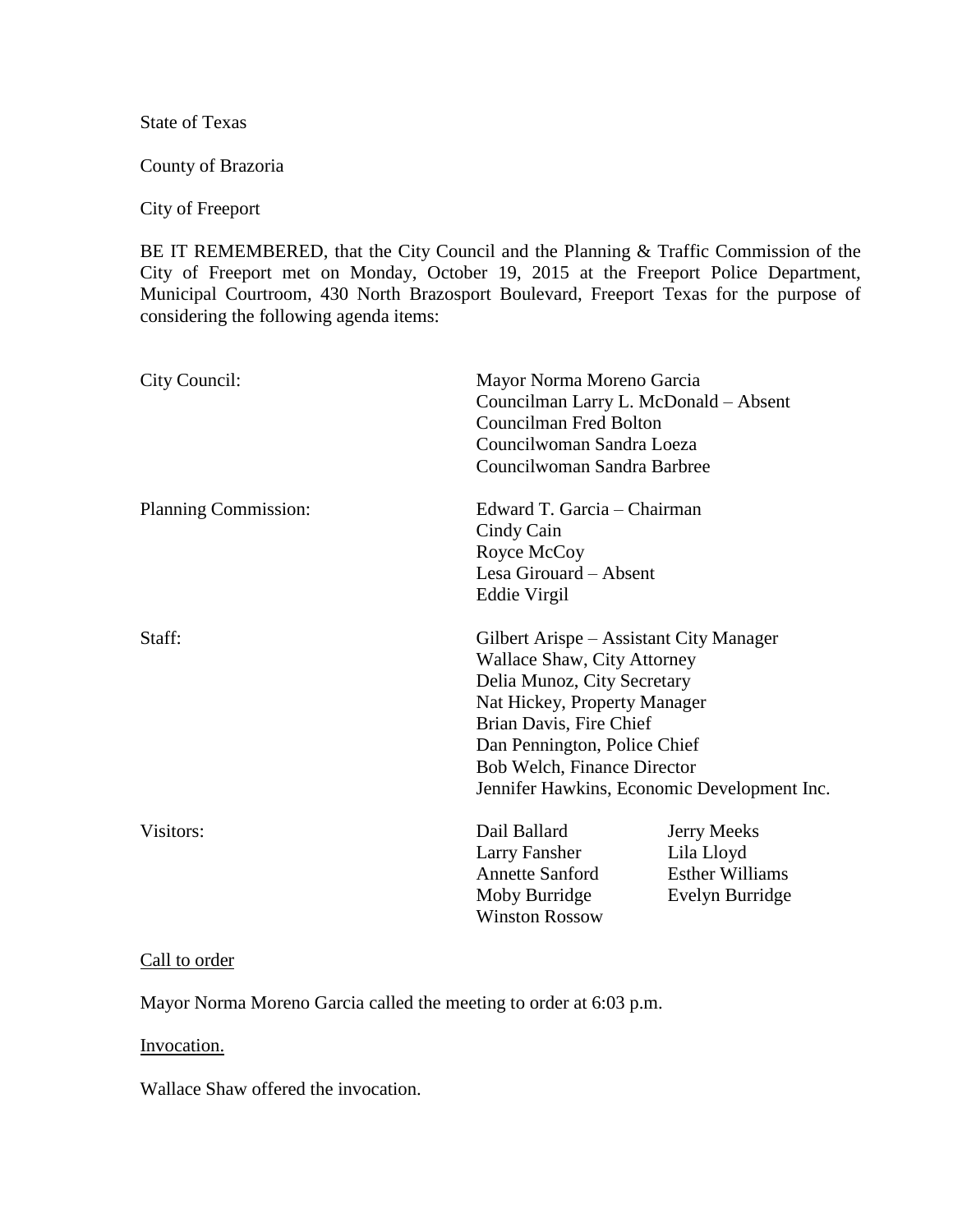State of Texas

County of Brazoria

## City of Freeport

BE IT REMEMBERED, that the City Council and the Planning & Traffic Commission of the City of Freeport met on Monday, October 19, 2015 at the Freeport Police Department, Municipal Courtroom, 430 North Brazosport Boulevard, Freeport Texas for the purpose of considering the following agenda items:

| City Council:        | Mayor Norma Moreno Garcia<br>Councilman Larry L. McDonald - Absent<br><b>Councilman Fred Bolton</b><br>Councilwoman Sandra Loeza<br>Councilwoman Sandra Barbree                                                                                                                |                                                                               |
|----------------------|--------------------------------------------------------------------------------------------------------------------------------------------------------------------------------------------------------------------------------------------------------------------------------|-------------------------------------------------------------------------------|
| Planning Commission: | Edward T. Garcia - Chairman<br>Cindy Cain<br>Royce McCoy<br>Lesa Girouard - Absent<br>Eddie Virgil                                                                                                                                                                             |                                                                               |
| Staff:               | Gilbert Arispe – Assistant City Manager<br>Wallace Shaw, City Attorney<br>Delia Munoz, City Secretary<br>Nat Hickey, Property Manager<br>Brian Davis, Fire Chief<br>Dan Pennington, Police Chief<br>Bob Welch, Finance Director<br>Jennifer Hawkins, Economic Development Inc. |                                                                               |
| Visitors:            | Dail Ballard<br>Larry Fansher<br><b>Annette Sanford</b><br>Moby Burridge<br><b>Winston Rossow</b>                                                                                                                                                                              | <b>Jerry Meeks</b><br>Lila Lloyd<br><b>Esther Williams</b><br>Evelyn Burridge |

## Call to order

Mayor Norma Moreno Garcia called the meeting to order at 6:03 p.m.

Invocation.

Wallace Shaw offered the invocation.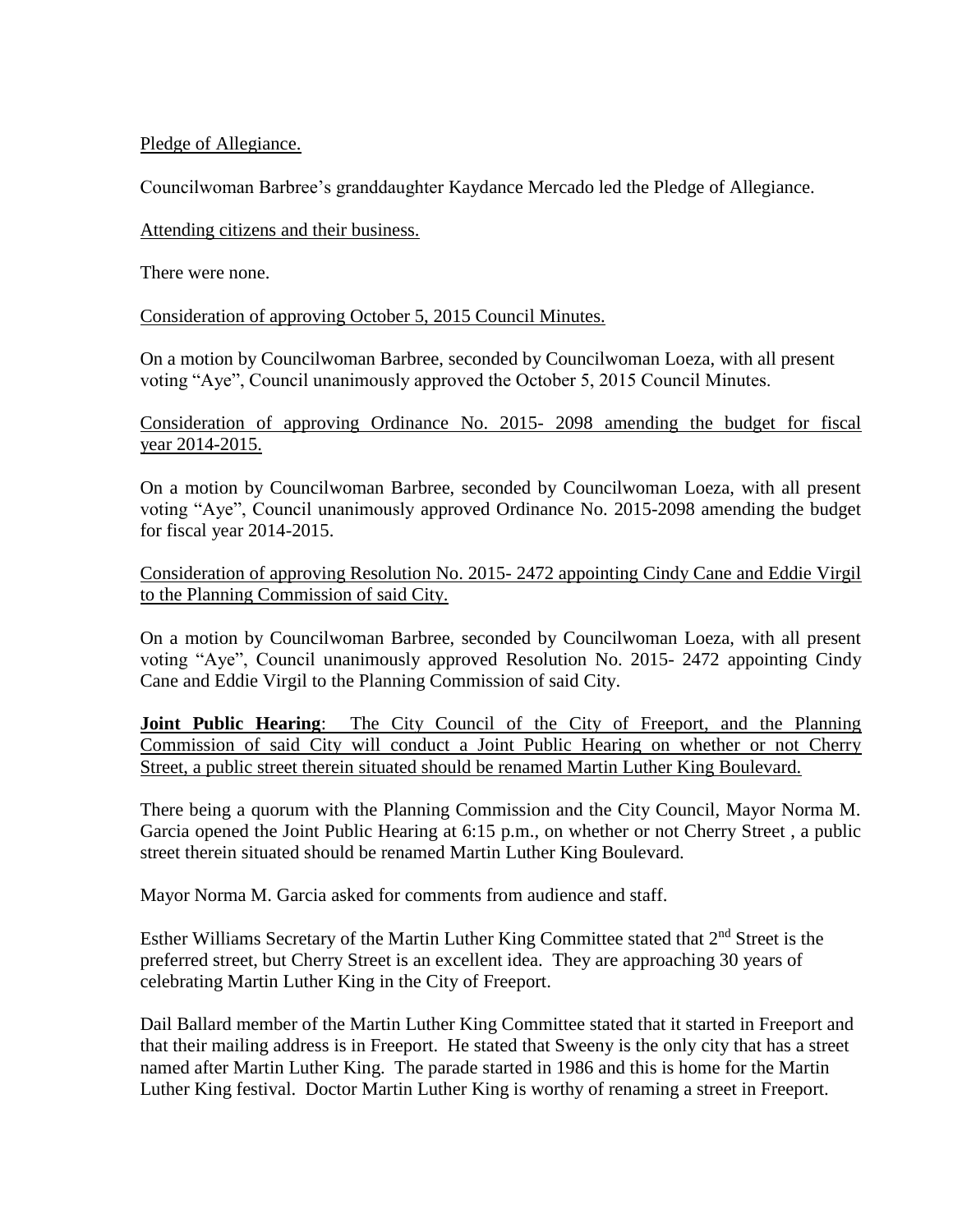Pledge of Allegiance.

Councilwoman Barbree's granddaughter Kaydance Mercado led the Pledge of Allegiance.

Attending citizens and their business.

There were none.

Consideration of approving October 5, 2015 Council Minutes.

On a motion by Councilwoman Barbree, seconded by Councilwoman Loeza, with all present voting "Aye", Council unanimously approved the October 5, 2015 Council Minutes.

Consideration of approving Ordinance No. 2015- 2098 amending the budget for fiscal year 2014-2015.

On a motion by Councilwoman Barbree, seconded by Councilwoman Loeza, with all present voting "Aye", Council unanimously approved Ordinance No. 2015-2098 amending the budget for fiscal year 2014-2015.

Consideration of approving Resolution No. 2015- 2472 appointing Cindy Cane and Eddie Virgil to the Planning Commission of said City.

On a motion by Councilwoman Barbree, seconded by Councilwoman Loeza, with all present voting "Aye", Council unanimously approved Resolution No. 2015- 2472 appointing Cindy Cane and Eddie Virgil to the Planning Commission of said City.

**Joint Public Hearing**: The City Council of the City of Freeport, and the Planning Commission of said City will conduct a Joint Public Hearing on whether or not Cherry Street, a public street therein situated should be renamed Martin Luther King Boulevard.

There being a quorum with the Planning Commission and the City Council, Mayor Norma M. Garcia opened the Joint Public Hearing at 6:15 p.m., on whether or not Cherry Street , a public street therein situated should be renamed Martin Luther King Boulevard.

Mayor Norma M. Garcia asked for comments from audience and staff.

Esther Williams Secretary of the Martin Luther King Committee stated that 2<sup>nd</sup> Street is the preferred street, but Cherry Street is an excellent idea. They are approaching 30 years of celebrating Martin Luther King in the City of Freeport.

Dail Ballard member of the Martin Luther King Committee stated that it started in Freeport and that their mailing address is in Freeport. He stated that Sweeny is the only city that has a street named after Martin Luther King. The parade started in 1986 and this is home for the Martin Luther King festival. Doctor Martin Luther King is worthy of renaming a street in Freeport.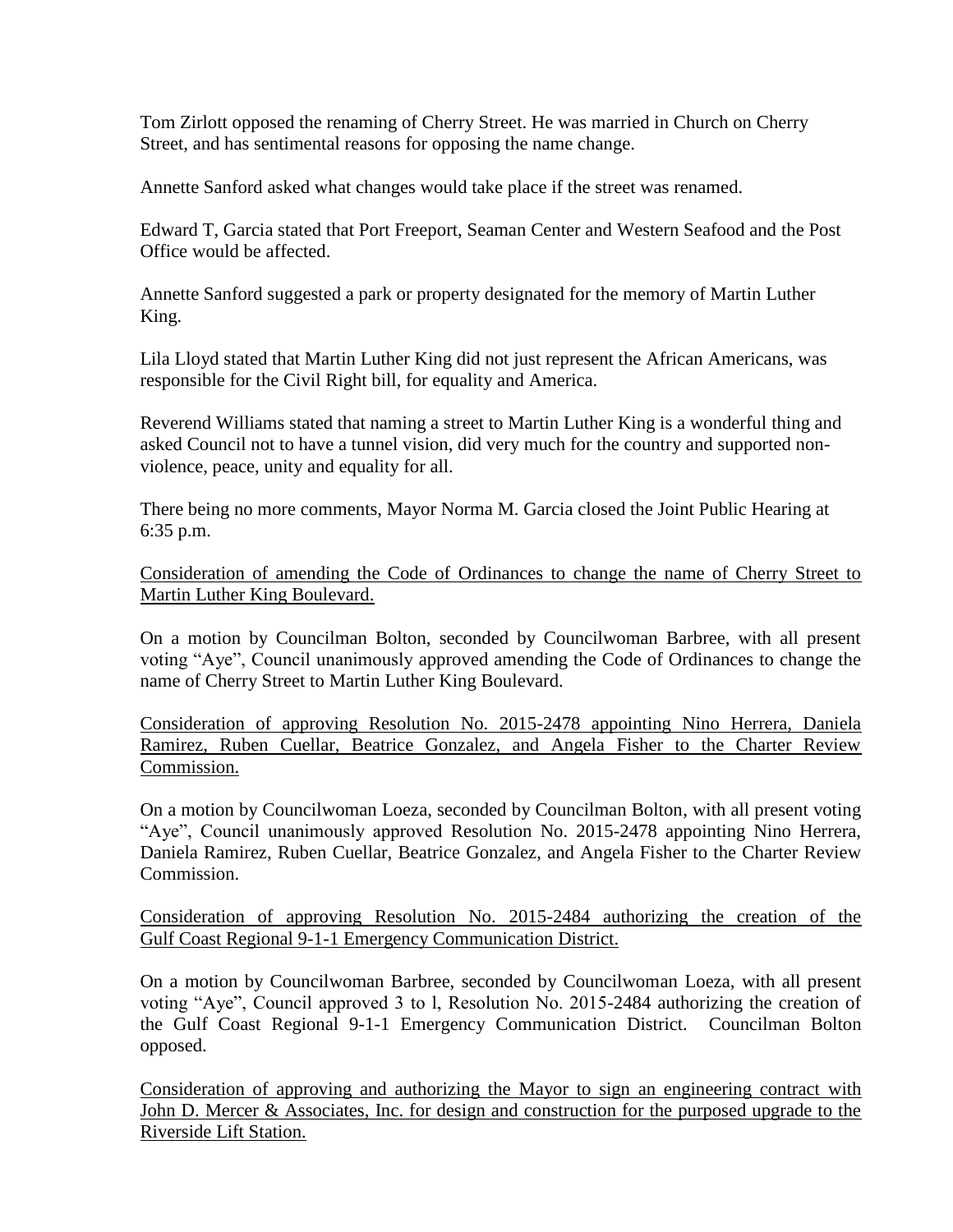Tom Zirlott opposed the renaming of Cherry Street. He was married in Church on Cherry Street, and has sentimental reasons for opposing the name change.

Annette Sanford asked what changes would take place if the street was renamed.

Edward T, Garcia stated that Port Freeport, Seaman Center and Western Seafood and the Post Office would be affected.

Annette Sanford suggested a park or property designated for the memory of Martin Luther King.

Lila Lloyd stated that Martin Luther King did not just represent the African Americans, was responsible for the Civil Right bill, for equality and America.

Reverend Williams stated that naming a street to Martin Luther King is a wonderful thing and asked Council not to have a tunnel vision, did very much for the country and supported nonviolence, peace, unity and equality for all.

There being no more comments, Mayor Norma M. Garcia closed the Joint Public Hearing at 6:35 p.m.

Consideration of amending the Code of Ordinances to change the name of Cherry Street to Martin Luther King Boulevard.

On a motion by Councilman Bolton, seconded by Councilwoman Barbree, with all present voting "Aye", Council unanimously approved amending the Code of Ordinances to change the name of Cherry Street to Martin Luther King Boulevard.

Consideration of approving Resolution No. 2015-2478 appointing Nino Herrera, Daniela Ramirez, Ruben Cuellar, Beatrice Gonzalez, and Angela Fisher to the Charter Review Commission.

On a motion by Councilwoman Loeza, seconded by Councilman Bolton, with all present voting "Aye", Council unanimously approved Resolution No. 2015-2478 appointing Nino Herrera, Daniela Ramirez, Ruben Cuellar, Beatrice Gonzalez, and Angela Fisher to the Charter Review Commission.

Consideration of approving Resolution No. 2015-2484 authorizing the creation of the Gulf Coast Regional 9-1-1 Emergency Communication District.

On a motion by Councilwoman Barbree, seconded by Councilwoman Loeza, with all present voting "Aye", Council approved 3 to l, Resolution No. 2015-2484 authorizing the creation of the Gulf Coast Regional 9-1-1 Emergency Communication District. Councilman Bolton opposed.

Consideration of approving and authorizing the Mayor to sign an engineering contract with John D. Mercer & Associates, Inc. for design and construction for the purposed upgrade to the Riverside Lift Station.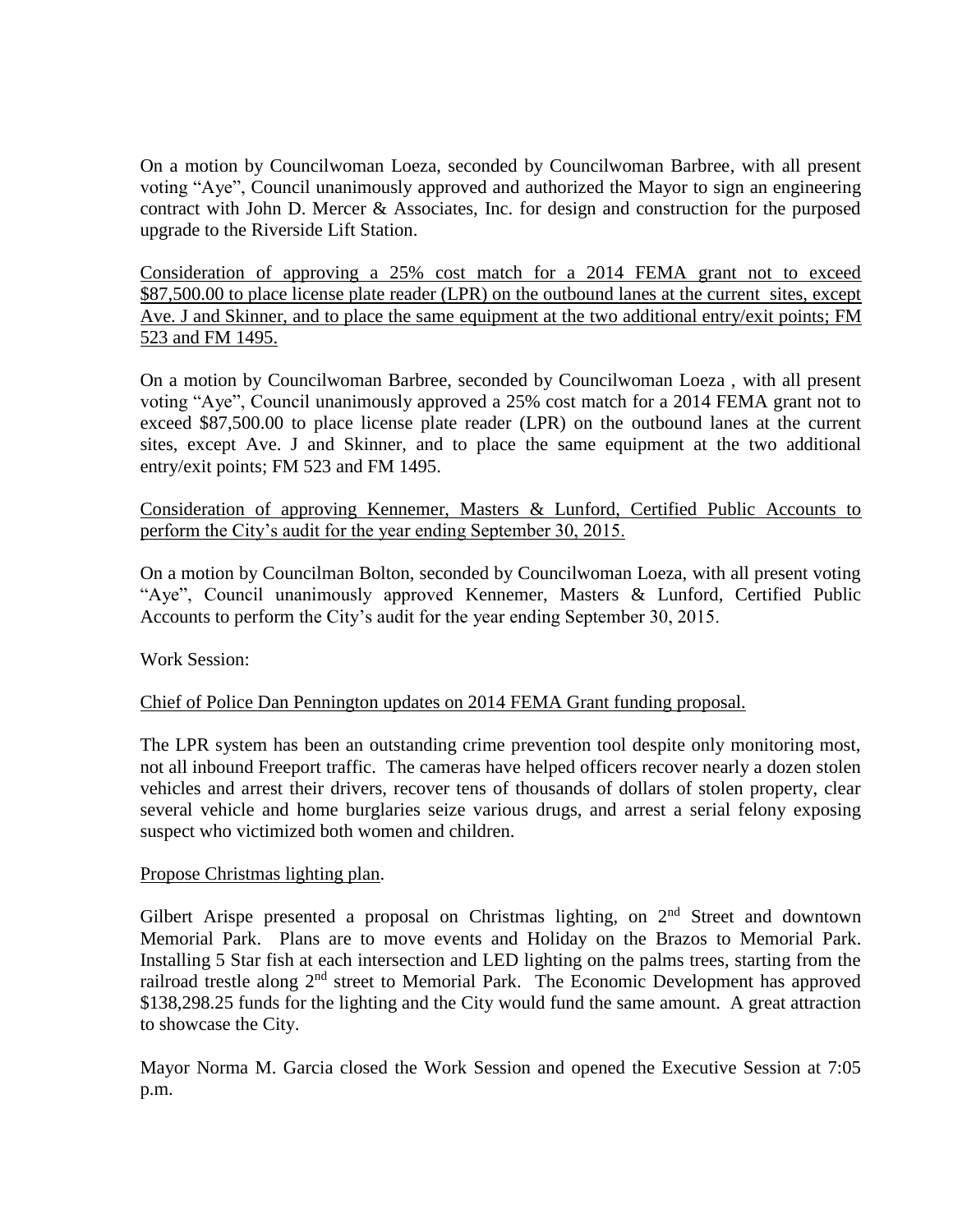On a motion by Councilwoman Loeza, seconded by Councilwoman Barbree, with all present voting "Aye", Council unanimously approved and authorized the Mayor to sign an engineering contract with John D. Mercer & Associates, Inc. for design and construction for the purposed upgrade to the Riverside Lift Station.

Consideration of approving a 25% cost match for a 2014 FEMA grant not to exceed \$87,500.00 to place license plate reader (LPR) on the outbound lanes at the current sites, except Ave. J and Skinner, and to place the same equipment at the two additional entry/exit points; FM 523 and FM 1495.

On a motion by Councilwoman Barbree, seconded by Councilwoman Loeza , with all present voting "Aye", Council unanimously approved a 25% cost match for a 2014 FEMA grant not to exceed \$87,500.00 to place license plate reader (LPR) on the outbound lanes at the current sites, except Ave. J and Skinner, and to place the same equipment at the two additional entry/exit points; FM 523 and FM 1495.

Consideration of approving Kennemer, Masters & Lunford, Certified Public Accounts to perform the City's audit for the year ending September 30, 2015.

On a motion by Councilman Bolton, seconded by Councilwoman Loeza, with all present voting "Aye", Council unanimously approved Kennemer, Masters & Lunford, Certified Public Accounts to perform the City's audit for the year ending September 30, 2015.

Work Session:

## Chief of Police Dan Pennington updates on 2014 FEMA Grant funding proposal.

The LPR system has been an outstanding crime prevention tool despite only monitoring most, not all inbound Freeport traffic. The cameras have helped officers recover nearly a dozen stolen vehicles and arrest their drivers, recover tens of thousands of dollars of stolen property, clear several vehicle and home burglaries seize various drugs, and arrest a serial felony exposing suspect who victimized both women and children.

## Propose Christmas lighting plan.

Gilbert Arispe presented a proposal on Christmas lighting, on  $2<sup>nd</sup>$  Street and downtown Memorial Park. Plans are to move events and Holiday on the Brazos to Memorial Park. Installing 5 Star fish at each intersection and LED lighting on the palms trees, starting from the railroad trestle along 2<sup>nd</sup> street to Memorial Park. The Economic Development has approved \$138,298.25 funds for the lighting and the City would fund the same amount. A great attraction to showcase the City.

Mayor Norma M. Garcia closed the Work Session and opened the Executive Session at 7:05 p.m.